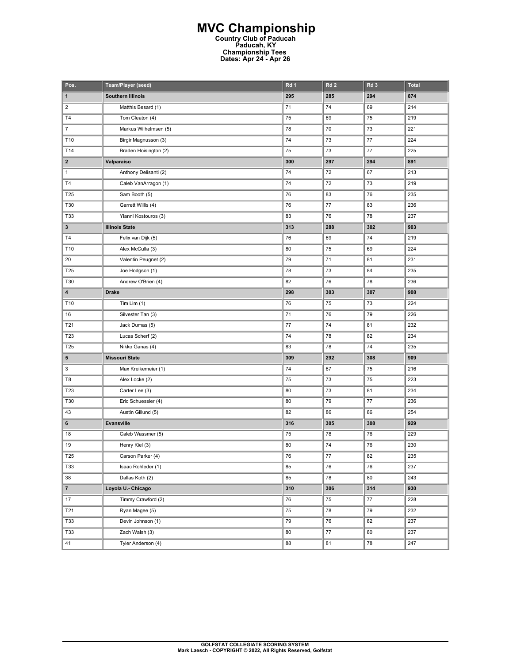## **MVC Championship Country Club of Paducah Paducah, KY Championship Tees Dates: Apr 24 - Apr 26**

| Pos.            | Team/Player (seed)       | Rd 1 | Rd <sub>2</sub> | Rd <sub>3</sub> | <b>Total</b> |
|-----------------|--------------------------|------|-----------------|-----------------|--------------|
| 1               | <b>Southern Illinois</b> | 295  | 285             | 294             | 874          |
| $\overline{c}$  | Matthis Besard (1)       | 71   | 74              | 69              | 214          |
| T4              | Tom Cleaton (4)          | 75   | 69              | 75              | 219          |
| $\overline{7}$  | Markus Wilhelmsen (5)    | 78   | 70              | 73              | 221          |
| T10             | Birgir Magnusson (3)     | 74   | 73              | 77              | 224          |
| T14             | Braden Hoisington (2)    | 75   | 73              | 77              | 225          |
| $\mathbf{2}$    | Valparaiso               | 300  | 297             | 294             | 891          |
| $\mathbf{1}$    | Anthony Delisanti (2)    | 74   | 72              | 67              | 213          |
| T <sub>4</sub>  | Caleb VanArragon (1)     | 74   | 72              | 73              | 219          |
| T25             | Sam Booth (5)            | 76   | 83              | 76              | 235          |
| T30             | Garrett Willis (4)       | 76   | 77              | 83              | 236          |
| T33             | Yianni Kostouros (3)     | 83   | 76              | 78              | 237          |
| $\mathbf{3}$    | <b>Illinois State</b>    | 313  | 288             | 302             | 903          |
| T <sub>4</sub>  | Felix van Dijk (5)       | 76   | 69              | 74              | 219          |
| T10             | Alex McCulla (3)         | 80   | 75              | 69              | 224          |
| 20              | Valentin Peugnet (2)     | 79   | 71              | 81              | 231          |
| T25             | Joe Hodgson (1)          | 78   | 73              | 84              | 235          |
| T30             | Andrew O'Brien (4)       | 82   | 76              | 78              | 236          |
| 4               | <b>Drake</b>             | 298  | 303             | 307             | 908          |
| T10             | Tim Lim $(1)$            | 76   | 75              | 73              | 224          |
| 16              | Silvester Tan (3)        | 71   | 76              | 79              | 226          |
| T21             | Jack Dumas (5)           | 77   | 74              | 81              | 232          |
| T23             | Lucas Scherf (2)         | 74   | 78              | 82              | 234          |
| T25             | Nikko Ganas (4)          | 83   | 78              | 74              | 235          |
| 5               | <b>Missouri State</b>    | 309  | 292             | 308             | 909          |
| 3               | Max Kreikemeier (1)      | 74   | 67              | 75              | 216          |
| T8              | Alex Locke (2)           | 75   | 73              | 75              | 223          |
| T23             | Carter Lee (3)           | 80   | 73              | 81              | 234          |
| T30             | Eric Schuessler (4)      | 80   | 79              | 77              | 236          |
| 43              | Austin Gillund (5)       | 82   | 86              | 86              | 254          |
| 6               | Evansville               | 316  | 305             | 308             | 929          |
| 18              | Caleb Wassmer (5)        | 75   | 78              | 76              | 229          |
| 19              | Henry Kiel (3)           | 80   | 74              | 76              | 230          |
| T <sub>25</sub> | Carson Parker (4)        | 76   | 77              | 82              | 235          |
| T33             | Isaac Rohleder (1)       | 85   | 76              | 76              | 237          |
| 38              | Dallas Koth (2)          | 85   | 78              | 80              | 243          |
| $\overline{7}$  | Loyola U.- Chicago       | 310  | 306             | 314             | 930          |
| 17              | Timmy Crawford (2)       | 76   | 75              | 77              | 228          |
| T21             | Ryan Magee (5)           | 75   | 78              | 79              | 232          |
| <b>T33</b>      | Devin Johnson (1)        | 79   | 76              | 82              | 237          |
| <b>T33</b>      | Zach Walsh (3)           | 80   | 77              | 80              | 237          |
| 41              | Tyler Anderson (4)       | 88   | 81              | 78              | 247          |